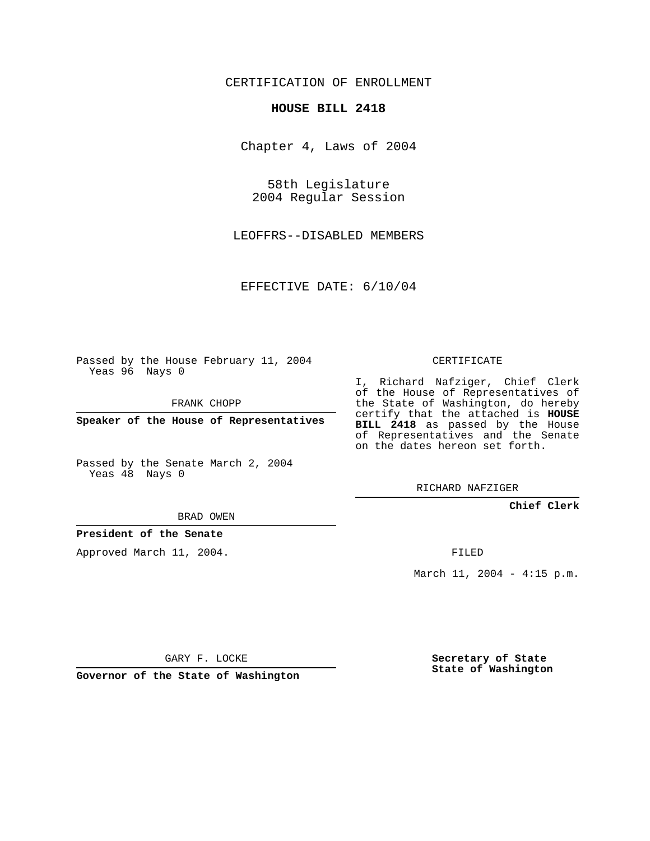# CERTIFICATION OF ENROLLMENT

## **HOUSE BILL 2418**

Chapter 4, Laws of 2004

58th Legislature 2004 Regular Session

LEOFFRS--DISABLED MEMBERS

EFFECTIVE DATE: 6/10/04

Passed by the House February 11, 2004 Yeas 96 Nays 0

FRANK CHOPP

**Speaker of the House of Representatives**

Passed by the Senate March 2, 2004 Yeas 48 Nays 0

I, Richard Nafziger, Chief Clerk of the House of Representatives of the State of Washington, do hereby certify that the attached is **HOUSE BILL 2418** as passed by the House of Representatives and the Senate on the dates hereon set forth.

CERTIFICATE

RICHARD NAFZIGER

### **Chief Clerk**

BRAD OWEN

## **President of the Senate**

Approved March 11, 2004.

FILED

March 11, 2004 - 4:15 p.m.

GARY F. LOCKE

**Governor of the State of Washington**

**Secretary of State State of Washington**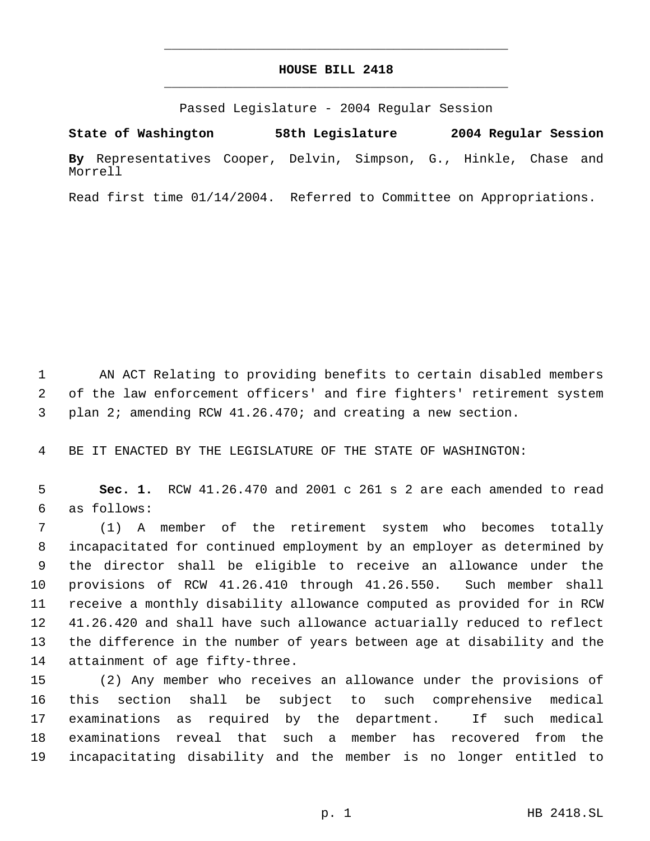# **HOUSE BILL 2418** \_\_\_\_\_\_\_\_\_\_\_\_\_\_\_\_\_\_\_\_\_\_\_\_\_\_\_\_\_\_\_\_\_\_\_\_\_\_\_\_\_\_\_\_\_

\_\_\_\_\_\_\_\_\_\_\_\_\_\_\_\_\_\_\_\_\_\_\_\_\_\_\_\_\_\_\_\_\_\_\_\_\_\_\_\_\_\_\_\_\_

Passed Legislature - 2004 Regular Session

**State of Washington 58th Legislature 2004 Regular Session By** Representatives Cooper, Delvin, Simpson, G., Hinkle, Chase and Morrell

Read first time 01/14/2004. Referred to Committee on Appropriations.

 AN ACT Relating to providing benefits to certain disabled members of the law enforcement officers' and fire fighters' retirement system plan 2; amending RCW 41.26.470; and creating a new section.

BE IT ENACTED BY THE LEGISLATURE OF THE STATE OF WASHINGTON:

 **Sec. 1.** RCW 41.26.470 and 2001 c 261 s 2 are each amended to read as follows:

 (1) A member of the retirement system who becomes totally incapacitated for continued employment by an employer as determined by the director shall be eligible to receive an allowance under the provisions of RCW 41.26.410 through 41.26.550. Such member shall receive a monthly disability allowance computed as provided for in RCW 41.26.420 and shall have such allowance actuarially reduced to reflect the difference in the number of years between age at disability and the attainment of age fifty-three.

 (2) Any member who receives an allowance under the provisions of this section shall be subject to such comprehensive medical examinations as required by the department. If such medical examinations reveal that such a member has recovered from the incapacitating disability and the member is no longer entitled to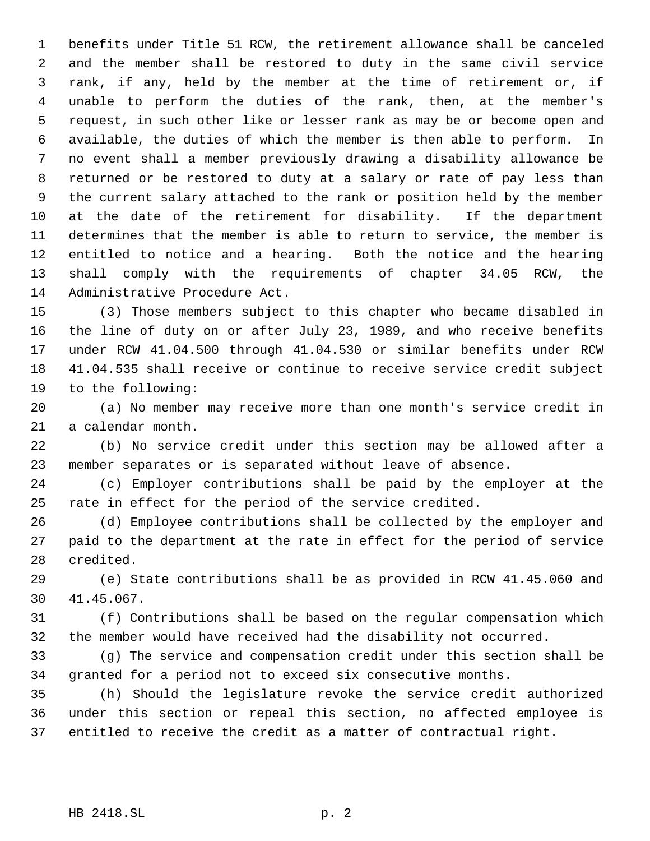benefits under Title 51 RCW, the retirement allowance shall be canceled and the member shall be restored to duty in the same civil service rank, if any, held by the member at the time of retirement or, if unable to perform the duties of the rank, then, at the member's request, in such other like or lesser rank as may be or become open and available, the duties of which the member is then able to perform. In no event shall a member previously drawing a disability allowance be returned or be restored to duty at a salary or rate of pay less than the current salary attached to the rank or position held by the member at the date of the retirement for disability. If the department determines that the member is able to return to service, the member is entitled to notice and a hearing. Both the notice and the hearing shall comply with the requirements of chapter 34.05 RCW, the Administrative Procedure Act.

 (3) Those members subject to this chapter who became disabled in the line of duty on or after July 23, 1989, and who receive benefits under RCW 41.04.500 through 41.04.530 or similar benefits under RCW 41.04.535 shall receive or continue to receive service credit subject to the following:

 (a) No member may receive more than one month's service credit in a calendar month.

 (b) No service credit under this section may be allowed after a member separates or is separated without leave of absence.

 (c) Employer contributions shall be paid by the employer at the rate in effect for the period of the service credited.

 (d) Employee contributions shall be collected by the employer and paid to the department at the rate in effect for the period of service credited.

 (e) State contributions shall be as provided in RCW 41.45.060 and 41.45.067.

 (f) Contributions shall be based on the regular compensation which the member would have received had the disability not occurred.

 (g) The service and compensation credit under this section shall be granted for a period not to exceed six consecutive months.

 (h) Should the legislature revoke the service credit authorized under this section or repeal this section, no affected employee is entitled to receive the credit as a matter of contractual right.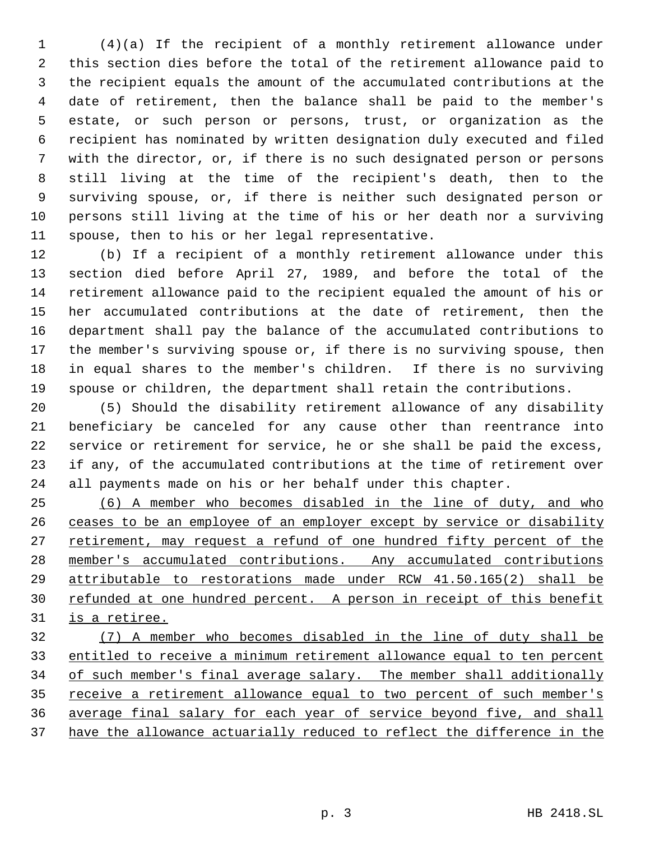(4)(a) If the recipient of a monthly retirement allowance under this section dies before the total of the retirement allowance paid to the recipient equals the amount of the accumulated contributions at the date of retirement, then the balance shall be paid to the member's estate, or such person or persons, trust, or organization as the recipient has nominated by written designation duly executed and filed with the director, or, if there is no such designated person or persons still living at the time of the recipient's death, then to the surviving spouse, or, if there is neither such designated person or persons still living at the time of his or her death nor a surviving spouse, then to his or her legal representative.

 (b) If a recipient of a monthly retirement allowance under this section died before April 27, 1989, and before the total of the retirement allowance paid to the recipient equaled the amount of his or her accumulated contributions at the date of retirement, then the department shall pay the balance of the accumulated contributions to the member's surviving spouse or, if there is no surviving spouse, then in equal shares to the member's children. If there is no surviving spouse or children, the department shall retain the contributions.

 (5) Should the disability retirement allowance of any disability beneficiary be canceled for any cause other than reentrance into service or retirement for service, he or she shall be paid the excess, if any, of the accumulated contributions at the time of retirement over all payments made on his or her behalf under this chapter.

 (6) A member who becomes disabled in the line of duty, and who 26 ceases to be an employee of an employer except by service or disability 27 retirement, may request a refund of one hundred fifty percent of the member's accumulated contributions. Any accumulated contributions attributable to restorations made under RCW 41.50.165(2) shall be 30 refunded at one hundred percent. A person in receipt of this benefit is a retiree.

 (7) A member who becomes disabled in the line of duty shall be entitled to receive a minimum retirement allowance equal to ten percent 34 of such member's final average salary. The member shall additionally 35 receive a retirement allowance equal to two percent of such member's average final salary for each year of service beyond five, and shall have the allowance actuarially reduced to reflect the difference in the